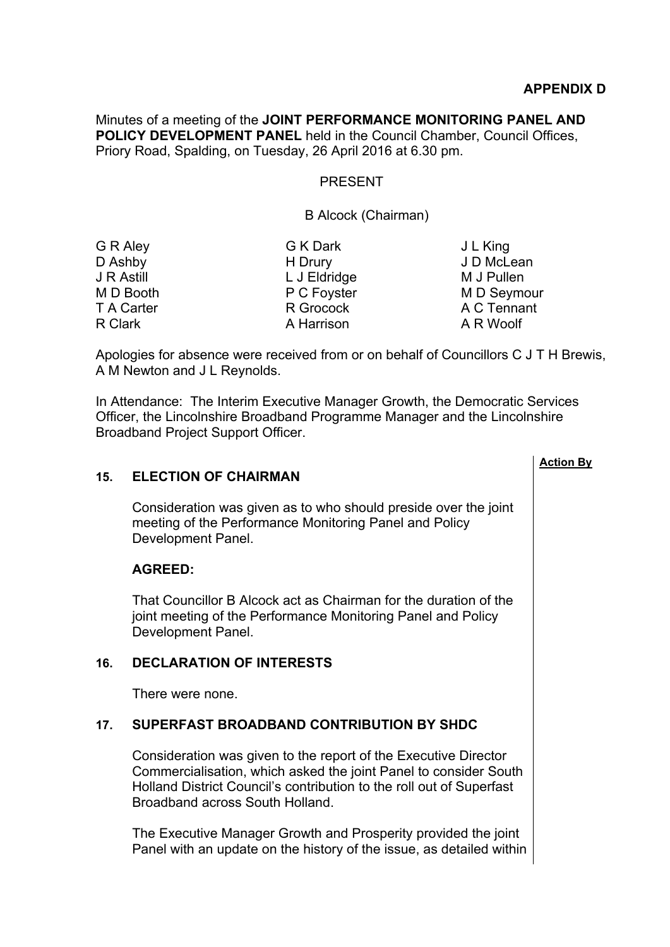Minutes of a meeting of the **JOINT PERFORMANCE MONITORING PANEL AND POLICY DEVELOPMENT PANEL** held in the Council Chamber, Council Offices, Priory Road, Spalding, on Tuesday, 26 April 2016 at 6.30 pm.

### PRESENT

#### B Alcock (Chairman)

| G R Aley   | G K Dark     | J L King    |
|------------|--------------|-------------|
| D Ashby    | H Drury      | J D McLean  |
| J R Astill | L J Eldridge | M J Pullen  |
| M D Booth  | P C Foyster  | M D Seymour |
| T A Carter | R Grocock    | A C Tennant |
| R Clark    | A Harrison   | A R Woolf   |
|            |              |             |

Apologies for absence were received from or on behalf of Councillors C J T H Brewis, A M Newton and J L Reynolds.

In Attendance: The Interim Executive Manager Growth, the Democratic Services Officer, the Lincolnshire Broadband Programme Manager and the Lincolnshire Broadband Project Support Officer.

# **Action By 15. ELECTION OF CHAIRMAN** Consideration was given as to who should preside over the joint meeting of the Performance Monitoring Panel and Policy Development Panel. **AGREED:** That Councillor B Alcock act as Chairman for the duration of the joint meeting of the Performance Monitoring Panel and Policy Development Panel. **16. DECLARATION OF INTERESTS** There were none. **17. SUPERFAST BROADBAND CONTRIBUTION BY SHDC** Consideration was given to the report of the Executive Director Commercialisation, which asked the joint Panel to consider South Holland District Council's contribution to the roll out of Superfast Broadband across South Holland. The Executive Manager Growth and Prosperity provided the joint Panel with an update on the history of the issue, as detailed within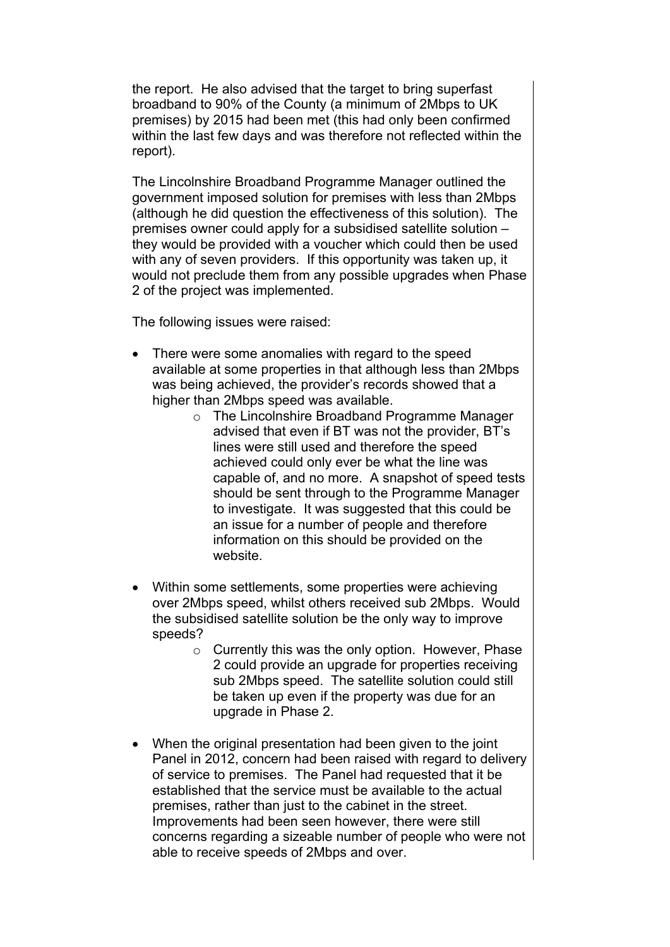the report. He also advised that the target to bring superfast broadband to 90% of the County (a minimum of 2Mbps to UK premises) by 2015 had been met (this had only been confirmed within the last few days and was therefore not reflected within the report).

The Lincolnshire Broadband Programme Manager outlined the government imposed solution for premises with less than 2Mbps (although he did question the effectiveness of this solution). The premises owner could apply for a subsidised satellite solution – they would be provided with a voucher which could then be used with any of seven providers. If this opportunity was taken up, it would not preclude them from any possible upgrades when Phase 2 of the project was implemented.

The following issues were raised:

- There were some anomalies with regard to the speed available at some properties in that although less than 2Mbps was being achieved, the provider's records showed that a higher than 2Mbps speed was available.
	- o The Lincolnshire Broadband Programme Manager advised that even if BT was not the provider, BT's lines were still used and therefore the speed achieved could only ever be what the line was capable of, and no more. A snapshot of speed tests should be sent through to the Programme Manager to investigate. It was suggested that this could be an issue for a number of people and therefore information on this should be provided on the website.
- Within some settlements, some properties were achieving over 2Mbps speed, whilst others received sub 2Mbps. Would the subsidised satellite solution be the only way to improve speeds?
	- o Currently this was the only option. However, Phase 2 could provide an upgrade for properties receiving sub 2Mbps speed. The satellite solution could still be taken up even if the property was due for an upgrade in Phase 2.
- When the original presentation had been given to the joint Panel in 2012, concern had been raised with regard to delivery of service to premises. The Panel had requested that it be established that the service must be available to the actual premises, rather than just to the cabinet in the street. Improvements had been seen however, there were still concerns regarding a sizeable number of people who were not able to receive speeds of 2Mbps and over.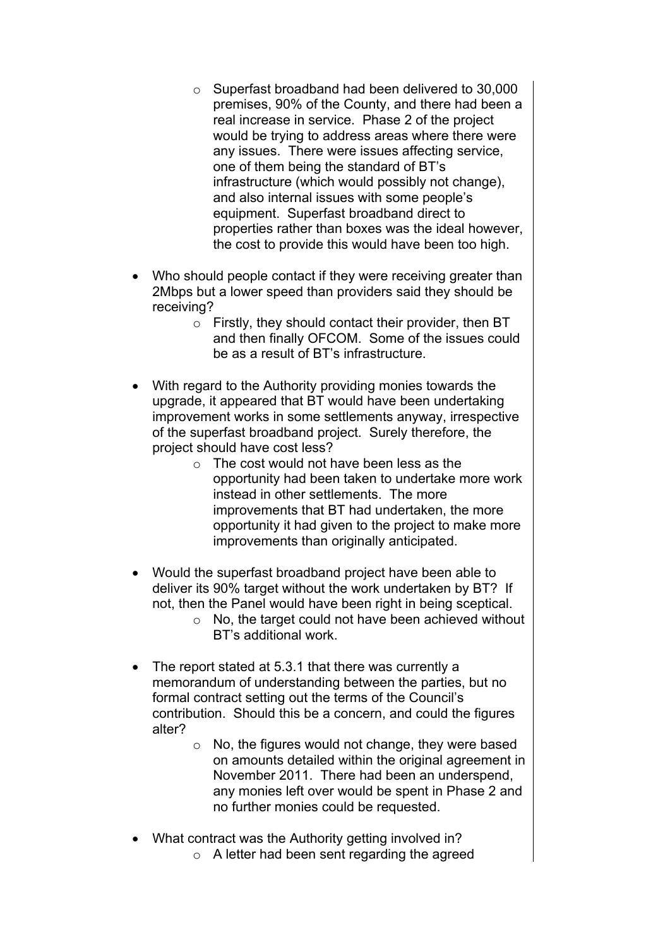- o Superfast broadband had been delivered to 30,000 premises, 90% of the County, and there had been a real increase in service. Phase 2 of the project would be trying to address areas where there were any issues. There were issues affecting service, one of them being the standard of BT's infrastructure (which would possibly not change), and also internal issues with some people's equipment. Superfast broadband direct to properties rather than boxes was the ideal however, the cost to provide this would have been too high.
- Who should people contact if they were receiving greater than 2Mbps but a lower speed than providers said they should be receiving?
	- o Firstly, they should contact their provider, then BT and then finally OFCOM. Some of the issues could be as a result of BT's infrastructure.
- With regard to the Authority providing monies towards the upgrade, it appeared that BT would have been undertaking improvement works in some settlements anyway, irrespective of the superfast broadband project. Surely therefore, the project should have cost less?
	- $\circ$  The cost would not have been less as the opportunity had been taken to undertake more work instead in other settlements. The more improvements that BT had undertaken, the more opportunity it had given to the project to make more improvements than originally anticipated.
- Would the superfast broadband project have been able to deliver its 90% target without the work undertaken by BT? If not, then the Panel would have been right in being sceptical.
	- $\circ$  No, the target could not have been achieved without BT's additional work.
- The report stated at 5.3.1 that there was currently a memorandum of understanding between the parties, but no formal contract setting out the terms of the Council's contribution. Should this be a concern, and could the figures alter?
	- $\circ$  No, the figures would not change, they were based on amounts detailed within the original agreement in November 2011. There had been an underspend, any monies left over would be spent in Phase 2 and no further monies could be requested.
- What contract was the Authority getting involved in?
	- o A letter had been sent regarding the agreed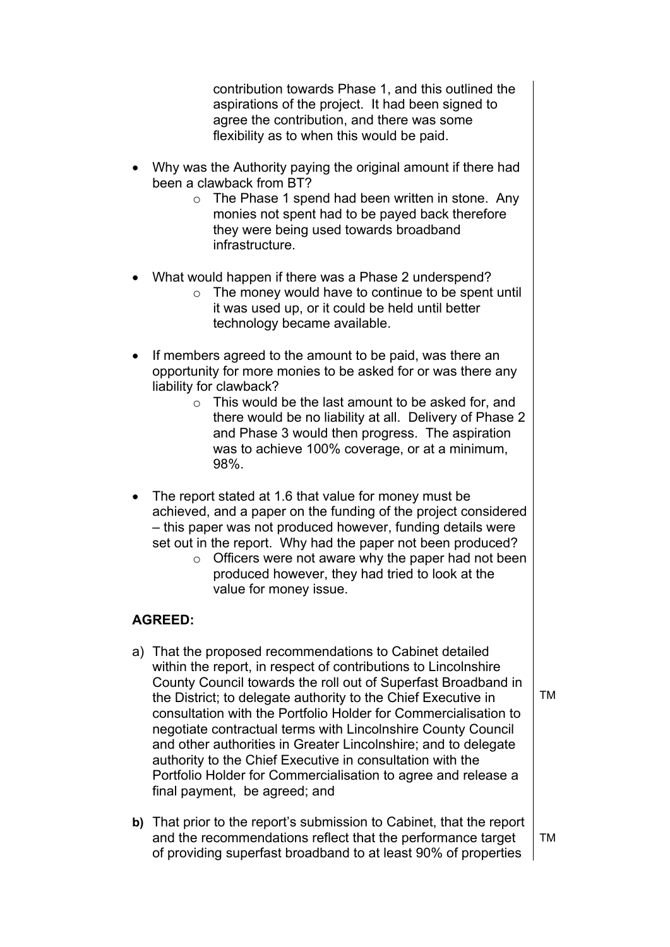contribution towards Phase 1, and this outlined the aspirations of the project. It had been signed to agree the contribution, and there was some flexibility as to when this would be paid.

- Why was the Authority paying the original amount if there had been a clawback from BT?
	- $\circ$  The Phase 1 spend had been written in stone. Any monies not spent had to be payed back therefore they were being used towards broadband infrastructure.
- What would happen if there was a Phase 2 underspend?
	- $\circ$  The money would have to continue to be spent until it was used up, or it could be held until better technology became available.
- If members agreed to the amount to be paid, was there an opportunity for more monies to be asked for or was there any liability for clawback?
	- o This would be the last amount to be asked for, and there would be no liability at all. Delivery of Phase 2 and Phase 3 would then progress. The aspiration was to achieve 100% coverage, or at a minimum, 98%.
- The report stated at 1.6 that value for money must be achieved, and a paper on the funding of the project considered – this paper was not produced however, funding details were set out in the report. Why had the paper not been produced?
	- $\circ$  Officers were not aware why the paper had not been produced however, they had tried to look at the value for money issue.

## **AGREED:**

- a) That the proposed recommendations to Cabinet detailed within the report, in respect of contributions to Lincolnshire County Council towards the roll out of Superfast Broadband in the District; to delegate authority to the Chief Executive in consultation with the Portfolio Holder for Commercialisation to negotiate contractual terms with Lincolnshire County Council and other authorities in Greater Lincolnshire; and to delegate authority to the Chief Executive in consultation with the Portfolio Holder for Commercialisation to agree and release a final payment, be agreed; and
- **b)** That prior to the report's submission to Cabinet, that the report and the recommendations reflect that the performance target of providing superfast broadband to at least 90% of properties TM

TM